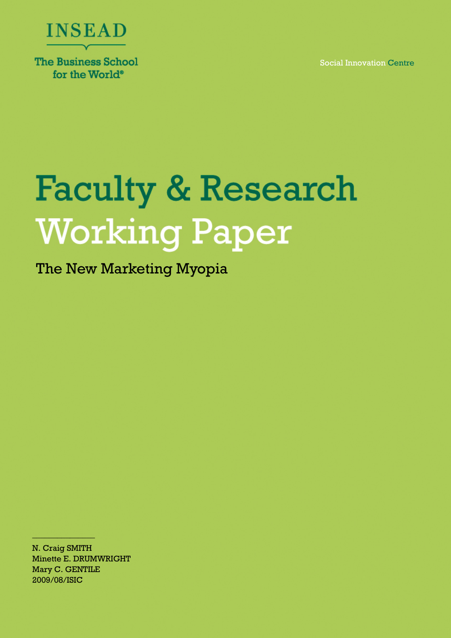

**The Business School** for the World<sup>®</sup>

Social Innovation Centre

# **Faculty & Research Working Paper**

The New Marketing Myopia

N. Craig SMITH Minette E. DRUMWRIGHT Mary C. GENTILE 2009/08/ISIC

\_\_\_\_\_\_\_\_\_\_\_\_\_\_\_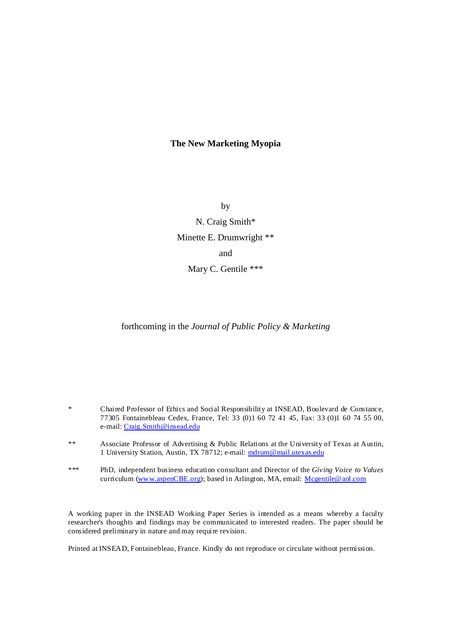# **The New Marketing Myopia**

by N. Craig Smith\* Minette E. Drumwright \*\* and Mary C. Gentile \*\*\*

forthcoming in the *Journal of Public Policy & Marketing*

\* Chaired Professor of Ethics and Social Responsibility at INSEAD, Boulevard de Constance, 77305 Fontainebleau Cedex, France, Tel: 33 (0)1 60 72 41 45, Fax: 33 (0)1 60 74 55 00, e-mail: Craig.Smith@insead.edu

- \*\* Associate Professor of Advertising & Public Relations at the University of Texas at Austin, 1 University Station, Austin, TX 78712; e-mail: mdrum@mail.utexas.edu
- \*\*\* PhD, independent business education consultant and Director of the *Giving Voice to Values* curriculum (www.aspenCBE.org); based in Arlington, MA, email: Mcgentile@aol.com

A working paper in the INSEAD Working Paper Series is intended as a means whereby a faculty researcher's thoughts and findings may be communicated to interested readers. The paper should be considered preliminary in nature and may require revision.

Printed at INSEAD, Fontainebleau, France. Kindly do not reproduce or circulate without permission.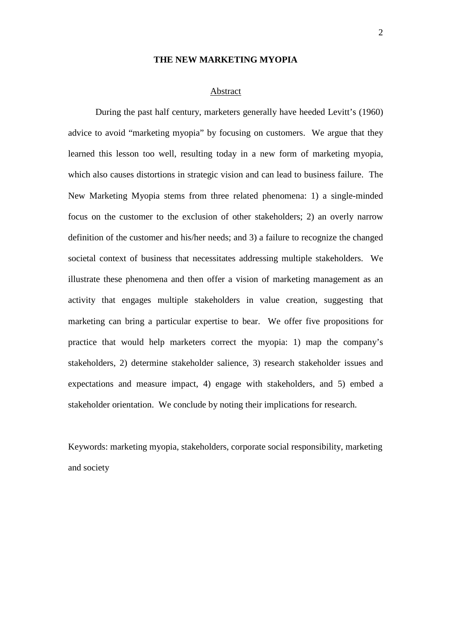#### **THE NEW MARKETING MYOPIA**

#### Abstract

During the past half century, marketers generally have heeded Levitt's (1960) advice to avoid "marketing myopia" by focusing on customers. We argue that they learned this lesson too well, resulting today in a new form of marketing myopia, which also causes distortions in strategic vision and can lead to business failure. The New Marketing Myopia stems from three related phenomena: 1) a single-minded focus on the customer to the exclusion of other stakeholders; 2) an overly narrow definition of the customer and his/her needs; and 3) a failure to recognize the changed societal context of business that necessitates addressing multiple stakeholders. We illustrate these phenomena and then offer a vision of marketing management as an activity that engages multiple stakeholders in value creation, suggesting that marketing can bring a particular expertise to bear. We offer five propositions for practice that would help marketers correct the myopia: 1) map the company's stakeholders, 2) determine stakeholder salience, 3) research stakeholder issues and expectations and measure impact, 4) engage with stakeholders, and 5) embed a stakeholder orientation. We conclude by noting their implications for research.

Keywords: marketing myopia, stakeholders, corporate social responsibility, marketing and society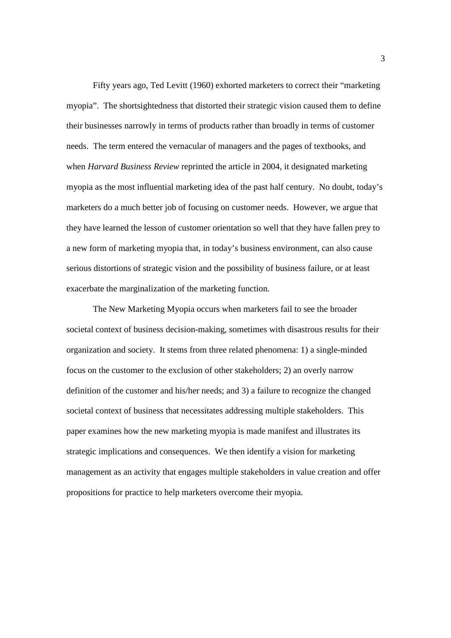Fifty years ago, Ted Levitt (1960) exhorted marketers to correct their "marketing myopia". The shortsightedness that distorted their strategic vision caused them to define their businesses narrowly in terms of products rather than broadly in terms of customer needs. The term entered the vernacular of managers and the pages of textbooks, and when *Harvard Business Review* reprinted the article in 2004, it designated marketing myopia as the most influential marketing idea of the past half century. No doubt, today's marketers do a much better job of focusing on customer needs. However, we argue that they have learned the lesson of customer orientation so well that they have fallen prey to a new form of marketing myopia that, in today's business environment, can also cause serious distortions of strategic vision and the possibility of business failure, or at least exacerbate the marginalization of the marketing function.

The New Marketing Myopia occurs when marketers fail to see the broader societal context of business decision-making, sometimes with disastrous results for their organization and society. It stems from three related phenomena: 1) a single-minded focus on the customer to the exclusion of other stakeholders; 2) an overly narrow definition of the customer and his/her needs; and 3) a failure to recognize the changed societal context of business that necessitates addressing multiple stakeholders. This paper examines how the new marketing myopia is made manifest and illustrates its strategic implications and consequences. We then identify a vision for marketing management as an activity that engages multiple stakeholders in value creation and offer propositions for practice to help marketers overcome their myopia.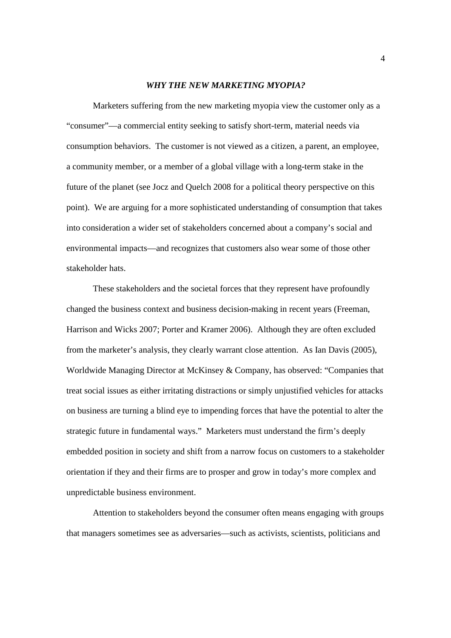#### *WHY THE NEW MARKETING MYOPIA?*

Marketers suffering from the new marketing myopia view the customer only as a "consumer"—a commercial entity seeking to satisfy short-term, material needs via consumption behaviors. The customer is not viewed as a citizen, a parent, an employee, a community member, or a member of a global village with a long-term stake in the future of the planet (see Jocz and Quelch 2008 for a political theory perspective on this point). We are arguing for a more sophisticated understanding of consumption that takes into consideration a wider set of stakeholders concerned about a company's social and environmental impacts—and recognizes that customers also wear some of those other stakeholder hats.

These stakeholders and the societal forces that they represent have profoundly changed the business context and business decision-making in recent years (Freeman, Harrison and Wicks 2007; Porter and Kramer 2006). Although they are often excluded from the marketer's analysis, they clearly warrant close attention. As Ian Davis (2005), Worldwide Managing Director at McKinsey & Company, has observed: "Companies that treat social issues as either irritating distractions or simply unjustified vehicles for attacks on business are turning a blind eye to impending forces that have the potential to alter the strategic future in fundamental ways." Marketers must understand the firm's deeply embedded position in society and shift from a narrow focus on customers to a stakeholder orientation if they and their firms are to prosper and grow in today's more complex and unpredictable business environment.

Attention to stakeholders beyond the consumer often means engaging with groups that managers sometimes see as adversaries—such as activists, scientists, politicians and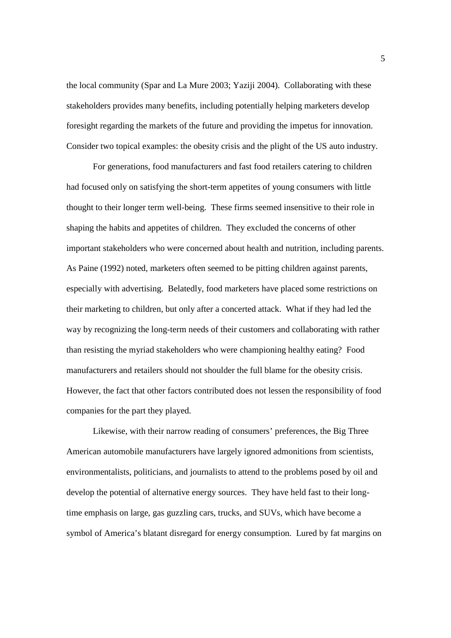the local community (Spar and La Mure 2003; Yaziji 2004). Collaborating with these stakeholders provides many benefits, including potentially helping marketers develop foresight regarding the markets of the future and providing the impetus for innovation. Consider two topical examples: the obesity crisis and the plight of the US auto industry.

 For generations, food manufacturers and fast food retailers catering to children had focused only on satisfying the short-term appetites of young consumers with little thought to their longer term well-being. These firms seemed insensitive to their role in shaping the habits and appetites of children. They excluded the concerns of other important stakeholders who were concerned about health and nutrition, including parents. As Paine (1992) noted, marketers often seemed to be pitting children against parents, especially with advertising. Belatedly, food marketers have placed some restrictions on their marketing to children, but only after a concerted attack. What if they had led the way by recognizing the long-term needs of their customers and collaborating with rather than resisting the myriad stakeholders who were championing healthy eating? Food manufacturers and retailers should not shoulder the full blame for the obesity crisis. However, the fact that other factors contributed does not lessen the responsibility of food companies for the part they played.

 Likewise, with their narrow reading of consumers' preferences, the Big Three American automobile manufacturers have largely ignored admonitions from scientists, environmentalists, politicians, and journalists to attend to the problems posed by oil and develop the potential of alternative energy sources. They have held fast to their longtime emphasis on large, gas guzzling cars, trucks, and SUVs, which have become a symbol of America's blatant disregard for energy consumption. Lured by fat margins on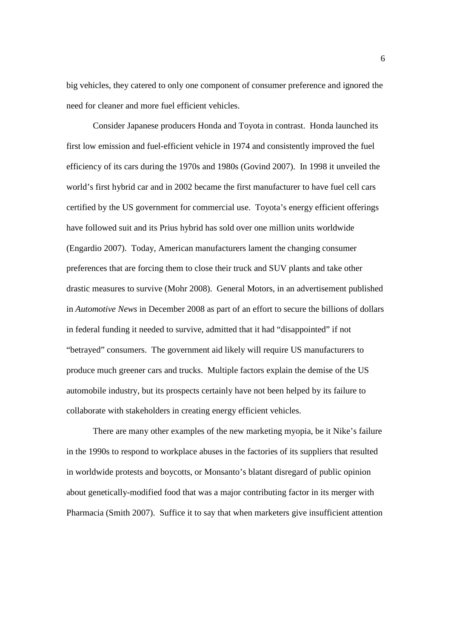big vehicles, they catered to only one component of consumer preference and ignored the need for cleaner and more fuel efficient vehicles.

Consider Japanese producers Honda and Toyota in contrast. Honda launched its first low emission and fuel-efficient vehicle in 1974 and consistently improved the fuel efficiency of its cars during the 1970s and 1980s (Govind 2007). In 1998 it unveiled the world's first hybrid car and in 2002 became the first manufacturer to have fuel cell cars certified by the US government for commercial use. Toyota's energy efficient offerings have followed suit and its Prius hybrid has sold over one million units worldwide (Engardio 2007). Today, American manufacturers lament the changing consumer preferences that are forcing them to close their truck and SUV plants and take other drastic measures to survive (Mohr 2008). General Motors, in an advertisement published in *Automotive News* in December 2008 as part of an effort to secure the billions of dollars in federal funding it needed to survive, admitted that it had "disappointed" if not "betrayed" consumers. The government aid likely will require US manufacturers to produce much greener cars and trucks. Multiple factors explain the demise of the US automobile industry, but its prospects certainly have not been helped by its failure to collaborate with stakeholders in creating energy efficient vehicles.

 There are many other examples of the new marketing myopia, be it Nike's failure in the 1990s to respond to workplace abuses in the factories of its suppliers that resulted in worldwide protests and boycotts, or Monsanto's blatant disregard of public opinion about genetically-modified food that was a major contributing factor in its merger with Pharmacia (Smith 2007). Suffice it to say that when marketers give insufficient attention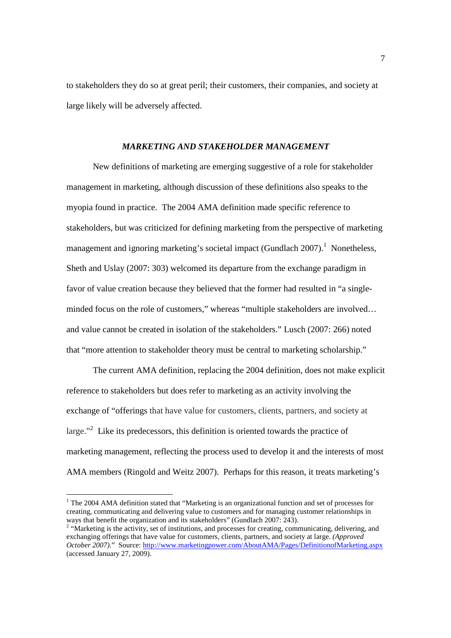to stakeholders they do so at great peril; their customers, their companies, and society at large likely will be adversely affected.

## *MARKETING AND STAKEHOLDER MANAGEMENT*

 New definitions of marketing are emerging suggestive of a role for stakeholder management in marketing, although discussion of these definitions also speaks to the myopia found in practice. The 2004 AMA definition made specific reference to stakeholders, but was criticized for defining marketing from the perspective of marketing management and ignoring marketing's societal impact (Gundlach 2007).<sup>1</sup> Nonetheless, Sheth and Uslay (2007: 303) welcomed its departure from the exchange paradigm in favor of value creation because they believed that the former had resulted in "a singleminded focus on the role of customers," whereas "multiple stakeholders are involved… and value cannot be created in isolation of the stakeholders." Lusch (2007: 266) noted that "more attention to stakeholder theory must be central to marketing scholarship."

The current AMA definition, replacing the 2004 definition, does not make explicit reference to stakeholders but does refer to marketing as an activity involving the exchange of "offerings that have value for customers, clients, partners, and society at large."<sup>2</sup> Like its predecessors, this definition is oriented towards the practice of marketing management, reflecting the process used to develop it and the interests of most AMA members (Ringold and Weitz 2007). Perhaps for this reason, it treats marketing's

-

<sup>&</sup>lt;sup>1</sup> The 2004 AMA definition stated that "Marketing is an organizational function and set of processes for creating, communicating and delivering value to customers and for managing customer relationships in ways that benefit the organization and its stakeholders" (Gundlach 2007: 243).

<sup>&</sup>lt;sup>2</sup> "Marketing is the activity, set of institutions, and processes for creating, communicating, delivering, and exchanging offerings that have value for customers, clients, partners, and society at large. *(Approved October 2007*)." Source: http://www.marketingpower.com/AboutAMA/Pages/DefinitionofMarketing.aspx (accessed January 27, 2009).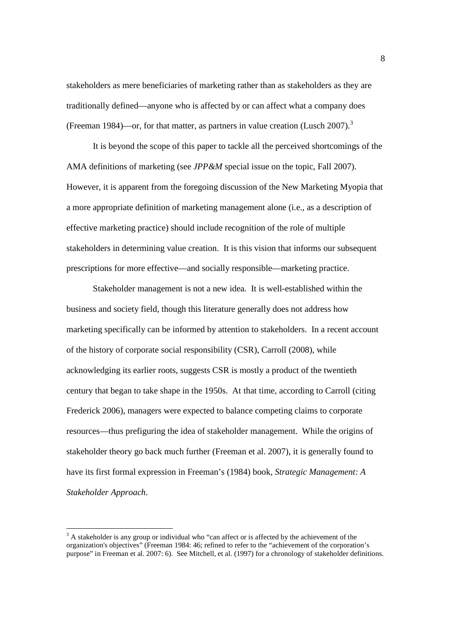stakeholders as mere beneficiaries of marketing rather than as stakeholders as they are traditionally defined—anyone who is affected by or can affect what a company does (Freeman 1984)—or, for that matter, as partners in value creation (Lusch 2007).<sup>3</sup>

It is beyond the scope of this paper to tackle all the perceived shortcomings of the AMA definitions of marketing (see *JPP&M* special issue on the topic, Fall 2007). However, it is apparent from the foregoing discussion of the New Marketing Myopia that a more appropriate definition of marketing management alone (i.e., as a description of effective marketing practice) should include recognition of the role of multiple stakeholders in determining value creation. It is this vision that informs our subsequent prescriptions for more effective—and socially responsible—marketing practice.

 Stakeholder management is not a new idea. It is well-established within the business and society field, though this literature generally does not address how marketing specifically can be informed by attention to stakeholders. In a recent account of the history of corporate social responsibility (CSR), Carroll (2008), while acknowledging its earlier roots, suggests CSR is mostly a product of the twentieth century that began to take shape in the 1950s. At that time, according to Carroll (citing Frederick 2006), managers were expected to balance competing claims to corporate resources—thus prefiguring the idea of stakeholder management. While the origins of stakeholder theory go back much further (Freeman et al. 2007), it is generally found to have its first formal expression in Freeman's (1984) book, *Strategic Management: A Stakeholder Approach*.

-

 $3$  A stakeholder is any group or individual who "can affect or is affected by the achievement of the organization's objectives" (Freeman 1984: 46; refined to refer to the "achievement of the corporation's purpose" in Freeman et al. 2007: 6). See Mitchell, et al. (1997) for a chronology of stakeholder definitions.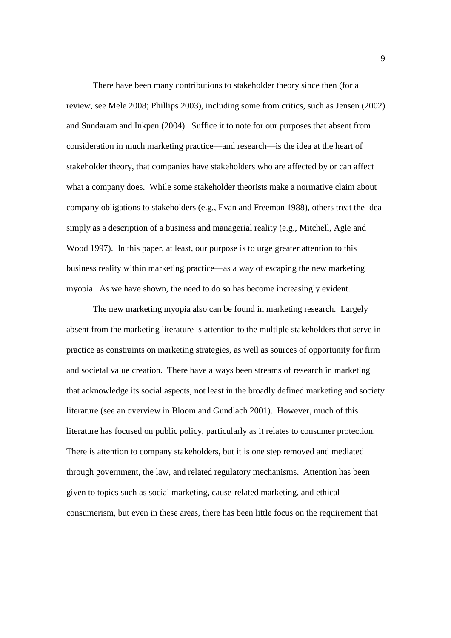There have been many contributions to stakeholder theory since then (for a review, see Mele 2008; Phillips 2003), including some from critics, such as Jensen (2002) and Sundaram and Inkpen (2004). Suffice it to note for our purposes that absent from consideration in much marketing practice—and research—is the idea at the heart of stakeholder theory, that companies have stakeholders who are affected by or can affect what a company does. While some stakeholder theorists make a normative claim about company obligations to stakeholders (e.g., Evan and Freeman 1988), others treat the idea simply as a description of a business and managerial reality (e.g., Mitchell, Agle and Wood 1997). In this paper, at least, our purpose is to urge greater attention to this business reality within marketing practice—as a way of escaping the new marketing myopia. As we have shown, the need to do so has become increasingly evident.

The new marketing myopia also can be found in marketing research. Largely absent from the marketing literature is attention to the multiple stakeholders that serve in practice as constraints on marketing strategies, as well as sources of opportunity for firm and societal value creation. There have always been streams of research in marketing that acknowledge its social aspects, not least in the broadly defined marketing and society literature (see an overview in Bloom and Gundlach 2001). However, much of this literature has focused on public policy, particularly as it relates to consumer protection. There is attention to company stakeholders, but it is one step removed and mediated through government, the law, and related regulatory mechanisms. Attention has been given to topics such as social marketing, cause-related marketing, and ethical consumerism, but even in these areas, there has been little focus on the requirement that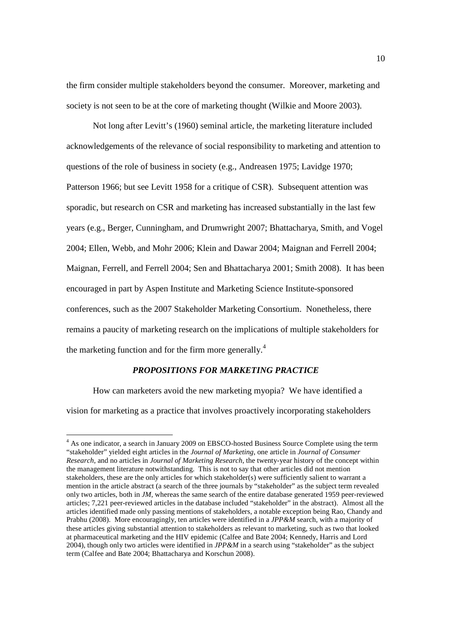the firm consider multiple stakeholders beyond the consumer. Moreover, marketing and society is not seen to be at the core of marketing thought (Wilkie and Moore 2003).

Not long after Levitt's (1960) seminal article, the marketing literature included acknowledgements of the relevance of social responsibility to marketing and attention to questions of the role of business in society (e.g., Andreasen 1975; Lavidge 1970; Patterson 1966; but see Levitt 1958 for a critique of CSR). Subsequent attention was sporadic, but research on CSR and marketing has increased substantially in the last few years (e.g., Berger, Cunningham, and Drumwright 2007; Bhattacharya, Smith, and Vogel 2004; Ellen, Webb, and Mohr 2006; Klein and Dawar 2004; Maignan and Ferrell 2004; Maignan, Ferrell, and Ferrell 2004; Sen and Bhattacharya 2001; Smith 2008). It has been encouraged in part by Aspen Institute and Marketing Science Institute-sponsored conferences, such as the 2007 Stakeholder Marketing Consortium. Nonetheless, there remains a paucity of marketing research on the implications of multiple stakeholders for the marketing function and for the firm more generally.<sup>4</sup>

## *PROPOSITIONS FOR MARKETING PRACTICE*

How can marketers avoid the new marketing myopia? We have identified a vision for marketing as a practice that involves proactively incorporating stakeholders

-

<sup>&</sup>lt;sup>4</sup> As one indicator, a search in January 2009 on EBSCO-hosted Business Source Complete using the term "stakeholder" yielded eight articles in the *Journal of Marketing*, one article in *Journal of Consumer Research*, and no articles in *Journal of Marketing Research*, the twenty-year history of the concept within the management literature notwithstanding. This is not to say that other articles did not mention stakeholders, these are the only articles for which stakeholder(s) were sufficiently salient to warrant a mention in the article abstract (a search of the three journals by "stakeholder" as the subject term revealed only two articles, both in *JM*, whereas the same search of the entire database generated 1959 peer-reviewed articles; 7,221 peer-reviewed articles in the database included "stakeholder" in the abstract). Almost all the articles identified made only passing mentions of stakeholders, a notable exception being Rao, Chandy and Prabhu (2008). More encouragingly, ten articles were identified in a *JPP&M* search, with a majority of these articles giving substantial attention to stakeholders as relevant to marketing, such as two that looked at pharmaceutical marketing and the HIV epidemic (Calfee and Bate 2004; Kennedy, Harris and Lord 2004), though only two articles were identified in *JPP&M* in a search using "stakeholder" as the subject term (Calfee and Bate 2004; Bhattacharya and Korschun 2008).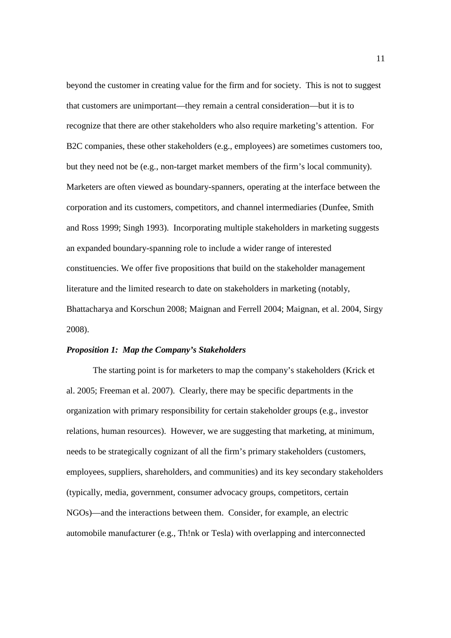beyond the customer in creating value for the firm and for society. This is not to suggest that customers are unimportant—they remain a central consideration—but it is to recognize that there are other stakeholders who also require marketing's attention. For B2C companies, these other stakeholders (e.g., employees) are sometimes customers too, but they need not be (e.g., non-target market members of the firm's local community). Marketers are often viewed as boundary-spanners, operating at the interface between the corporation and its customers, competitors, and channel intermediaries (Dunfee, Smith and Ross 1999; Singh 1993). Incorporating multiple stakeholders in marketing suggests an expanded boundary-spanning role to include a wider range of interested constituencies. We offer five propositions that build on the stakeholder management literature and the limited research to date on stakeholders in marketing (notably, Bhattacharya and Korschun 2008; Maignan and Ferrell 2004; Maignan, et al. 2004, Sirgy 2008).

### *Proposition 1: Map the Company's Stakeholders*

The starting point is for marketers to map the company's stakeholders (Krick et al. 2005; Freeman et al. 2007). Clearly, there may be specific departments in the organization with primary responsibility for certain stakeholder groups (e.g., investor relations, human resources). However, we are suggesting that marketing, at minimum, needs to be strategically cognizant of all the firm's primary stakeholders (customers, employees, suppliers, shareholders, and communities) and its key secondary stakeholders (typically, media, government, consumer advocacy groups, competitors, certain NGOs)—and the interactions between them. Consider, for example, an electric automobile manufacturer (e.g., Th!nk or Tesla) with overlapping and interconnected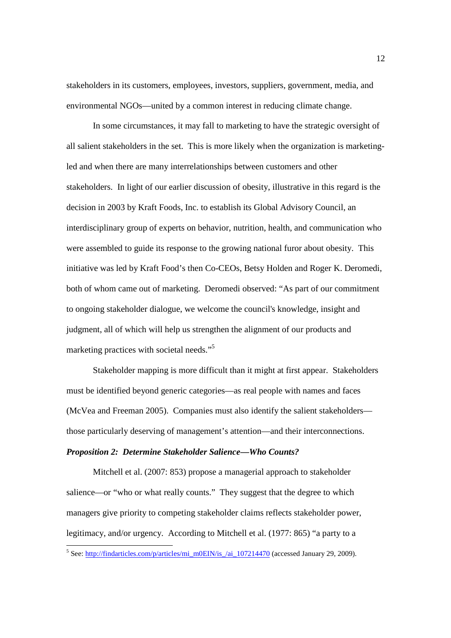stakeholders in its customers, employees, investors, suppliers, government, media, and environmental NGOs—united by a common interest in reducing climate change.

In some circumstances, it may fall to marketing to have the strategic oversight of all salient stakeholders in the set. This is more likely when the organization is marketingled and when there are many interrelationships between customers and other stakeholders. In light of our earlier discussion of obesity, illustrative in this regard is the decision in 2003 by Kraft Foods, Inc. to establish its Global Advisory Council, an interdisciplinary group of experts on behavior, nutrition, health, and communication who were assembled to guide its response to the growing national furor about obesity. This initiative was led by Kraft Food's then Co-CEOs, Betsy Holden and Roger K. Deromedi, both of whom came out of marketing. Deromedi observed: "As part of our commitment to ongoing stakeholder dialogue, we welcome the council's knowledge, insight and judgment, all of which will help us strengthen the alignment of our products and marketing practices with societal needs."<sup>5</sup>

Stakeholder mapping is more difficult than it might at first appear. Stakeholders must be identified beyond generic categories—as real people with names and faces (McVea and Freeman 2005). Companies must also identify the salient stakeholders those particularly deserving of management's attention—and their interconnections.

# *Proposition 2: Determine Stakeholder Salience—Who Counts?*

Mitchell et al. (2007: 853) propose a managerial approach to stakeholder salience—or "who or what really counts." They suggest that the degree to which managers give priority to competing stakeholder claims reflects stakeholder power, legitimacy, and/or urgency. According to Mitchell et al. (1977: 865) "a party to a

<sup>-&</sup>lt;br><sup>5</sup> See: http://findarticles.com/p/articles/mi\_m0EIN/is\_/ai\_107214470 (accessed January 29, 2009).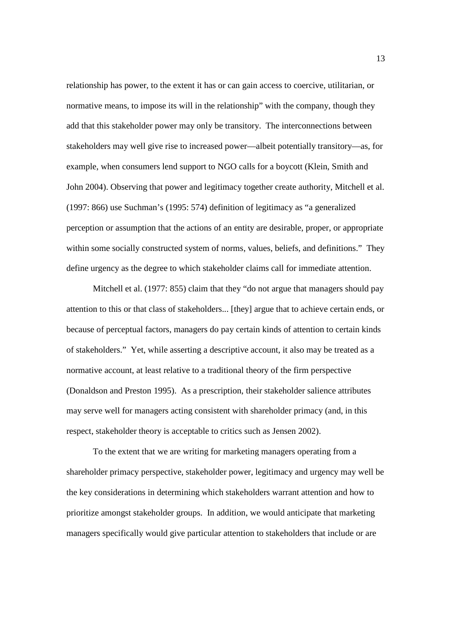relationship has power, to the extent it has or can gain access to coercive, utilitarian, or normative means, to impose its will in the relationship" with the company, though they add that this stakeholder power may only be transitory. The interconnections between stakeholders may well give rise to increased power—albeit potentially transitory—as, for example, when consumers lend support to NGO calls for a boycott (Klein, Smith and John 2004). Observing that power and legitimacy together create authority, Mitchell et al. (1997: 866) use Suchman's (1995: 574) definition of legitimacy as "a generalized perception or assumption that the actions of an entity are desirable, proper, or appropriate within some socially constructed system of norms, values, beliefs, and definitions." They define urgency as the degree to which stakeholder claims call for immediate attention.

Mitchell et al. (1977: 855) claim that they "do not argue that managers should pay attention to this or that class of stakeholders... [they] argue that to achieve certain ends, or because of perceptual factors, managers do pay certain kinds of attention to certain kinds of stakeholders." Yet, while asserting a descriptive account, it also may be treated as a normative account, at least relative to a traditional theory of the firm perspective (Donaldson and Preston 1995). As a prescription, their stakeholder salience attributes may serve well for managers acting consistent with shareholder primacy (and, in this respect, stakeholder theory is acceptable to critics such as Jensen 2002).

To the extent that we are writing for marketing managers operating from a shareholder primacy perspective, stakeholder power, legitimacy and urgency may well be the key considerations in determining which stakeholders warrant attention and how to prioritize amongst stakeholder groups. In addition, we would anticipate that marketing managers specifically would give particular attention to stakeholders that include or are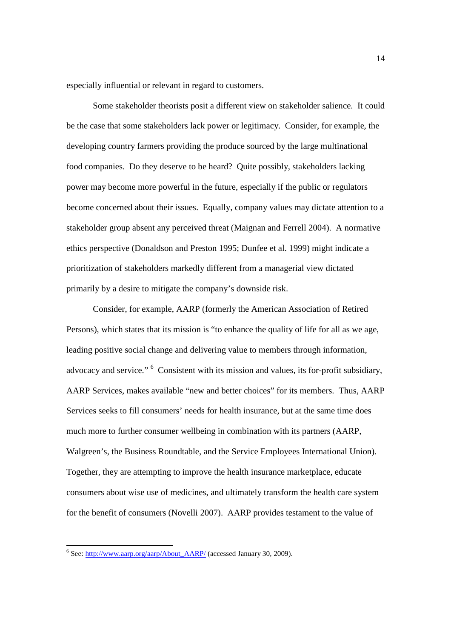especially influential or relevant in regard to customers.

Some stakeholder theorists posit a different view on stakeholder salience. It could be the case that some stakeholders lack power or legitimacy. Consider, for example, the developing country farmers providing the produce sourced by the large multinational food companies. Do they deserve to be heard? Quite possibly, stakeholders lacking power may become more powerful in the future, especially if the public or regulators become concerned about their issues. Equally, company values may dictate attention to a stakeholder group absent any perceived threat (Maignan and Ferrell 2004). A normative ethics perspective (Donaldson and Preston 1995; Dunfee et al. 1999) might indicate a prioritization of stakeholders markedly different from a managerial view dictated primarily by a desire to mitigate the company's downside risk.

Consider, for example, AARP (formerly the American Association of Retired Persons), which states that its mission is "to enhance the quality of life for all as we age, leading positive social change and delivering value to members through information, advocacy and service." <sup>6</sup> Consistent with its mission and values, its for-profit subsidiary, AARP Services, makes available "new and better choices" for its members. Thus, AARP Services seeks to fill consumers' needs for health insurance, but at the same time does much more to further consumer wellbeing in combination with its partners (AARP, Walgreen's, the Business Roundtable, and the Service Employees International Union). Together, they are attempting to improve the health insurance marketplace, educate consumers about wise use of medicines, and ultimately transform the health care system for the benefit of consumers (Novelli 2007). AARP provides testament to the value of

<sup>-&</sup>lt;br><sup>6</sup> See: http://www.aarp.org/aarp/About\_AARP/ (accessed January 30, 2009).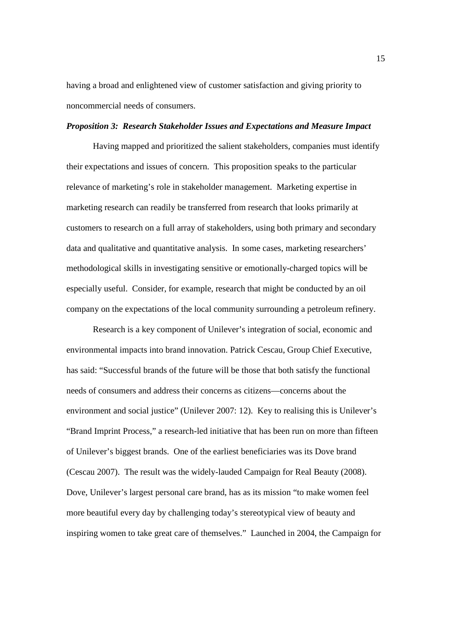having a broad and enlightened view of customer satisfaction and giving priority to noncommercial needs of consumers.

#### *Proposition 3: Research Stakeholder Issues and Expectations and Measure Impact*

 Having mapped and prioritized the salient stakeholders, companies must identify their expectations and issues of concern. This proposition speaks to the particular relevance of marketing's role in stakeholder management. Marketing expertise in marketing research can readily be transferred from research that looks primarily at customers to research on a full array of stakeholders, using both primary and secondary data and qualitative and quantitative analysis. In some cases, marketing researchers' methodological skills in investigating sensitive or emotionally-charged topics will be especially useful. Consider, for example, research that might be conducted by an oil company on the expectations of the local community surrounding a petroleum refinery.

 Research is a key component of Unilever's integration of social, economic and environmental impacts into brand innovation. Patrick Cescau, Group Chief Executive, has said: "Successful brands of the future will be those that both satisfy the functional needs of consumers and address their concerns as citizens—concerns about the environment and social justice" (Unilever 2007: 12). Key to realising this is Unilever's "Brand Imprint Process," a research-led initiative that has been run on more than fifteen of Unilever's biggest brands. One of the earliest beneficiaries was its Dove brand (Cescau 2007). The result was the widely-lauded Campaign for Real Beauty (2008). Dove, Unilever's largest personal care brand, has as its mission "to make women feel more beautiful every day by challenging today's stereotypical view of beauty and inspiring women to take great care of themselves." Launched in 2004, the Campaign for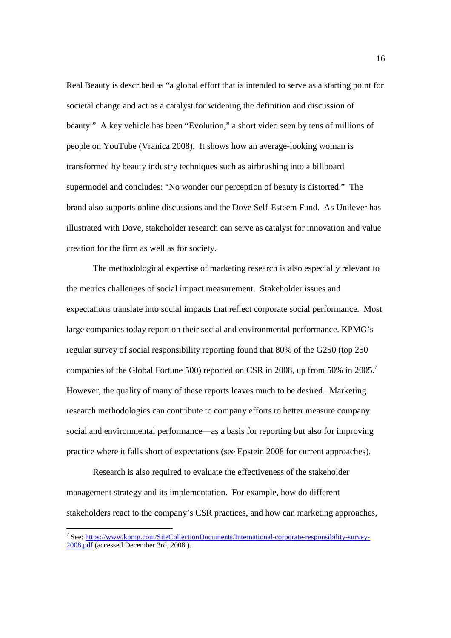Real Beauty is described as "a global effort that is intended to serve as a starting point for societal change and act as a catalyst for widening the definition and discussion of beauty." A key vehicle has been "Evolution," a short video seen by tens of millions of people on YouTube (Vranica 2008). It shows how an average-looking woman is transformed by beauty industry techniques such as airbrushing into a billboard supermodel and concludes: "No wonder our perception of beauty is distorted." The brand also supports online discussions and the Dove Self-Esteem Fund. As Unilever has illustrated with Dove, stakeholder research can serve as catalyst for innovation and value creation for the firm as well as for society.

The methodological expertise of marketing research is also especially relevant to the metrics challenges of social impact measurement. Stakeholder issues and expectations translate into social impacts that reflect corporate social performance. Most large companies today report on their social and environmental performance. KPMG's regular survey of social responsibility reporting found that 80% of the G250 (top 250 companies of the Global Fortune 500) reported on CSR in 2008, up from 50% in 2005.<sup>7</sup> However, the quality of many of these reports leaves much to be desired. Marketing research methodologies can contribute to company efforts to better measure company social and environmental performance—as a basis for reporting but also for improving practice where it falls short of expectations (see Epstein 2008 for current approaches).

Research is also required to evaluate the effectiveness of the stakeholder management strategy and its implementation. For example, how do different stakeholders react to the company's CSR practices, and how can marketing approaches,

-

<sup>&</sup>lt;sup>7</sup> See: https://www.kpmg.com/SiteCollectionDocuments/International-corporate-responsibility-survey-2008.pdf (accessed December 3rd, 2008.).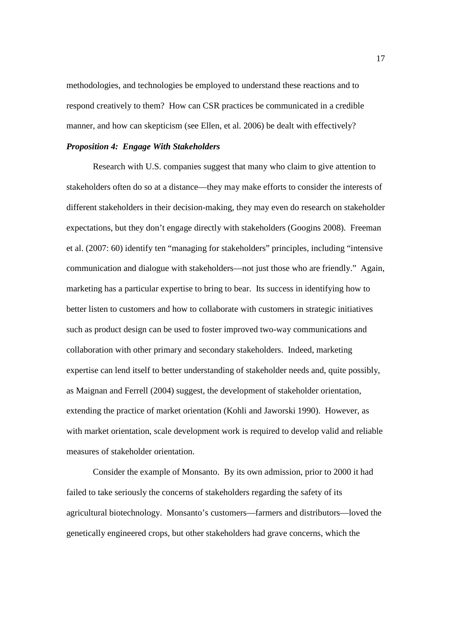methodologies, and technologies be employed to understand these reactions and to respond creatively to them? How can CSR practices be communicated in a credible manner, and how can skepticism (see Ellen, et al. 2006) be dealt with effectively?

# *Proposition 4: Engage With Stakeholders*

Research with U.S. companies suggest that many who claim to give attention to stakeholders often do so at a distance—they may make efforts to consider the interests of different stakeholders in their decision-making, they may even do research on stakeholder expectations, but they don't engage directly with stakeholders (Googins 2008). Freeman et al. (2007: 60) identify ten "managing for stakeholders" principles, including "intensive communication and dialogue with stakeholders—not just those who are friendly." Again, marketing has a particular expertise to bring to bear. Its success in identifying how to better listen to customers and how to collaborate with customers in strategic initiatives such as product design can be used to foster improved two-way communications and collaboration with other primary and secondary stakeholders. Indeed, marketing expertise can lend itself to better understanding of stakeholder needs and, quite possibly, as Maignan and Ferrell (2004) suggest, the development of stakeholder orientation, extending the practice of market orientation (Kohli and Jaworski 1990). However, as with market orientation, scale development work is required to develop valid and reliable measures of stakeholder orientation.

Consider the example of Monsanto. By its own admission, prior to 2000 it had failed to take seriously the concerns of stakeholders regarding the safety of its agricultural biotechnology. Monsanto's customers—farmers and distributors—loved the genetically engineered crops, but other stakeholders had grave concerns, which the

17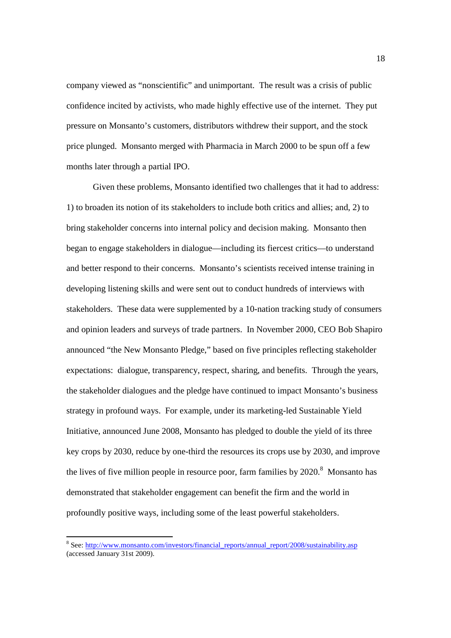company viewed as "nonscientific" and unimportant. The result was a crisis of public confidence incited by activists, who made highly effective use of the internet. They put pressure on Monsanto's customers, distributors withdrew their support, and the stock price plunged. Monsanto merged with Pharmacia in March 2000 to be spun off a few months later through a partial IPO.

Given these problems, Monsanto identified two challenges that it had to address: 1) to broaden its notion of its stakeholders to include both critics and allies; and, 2) to bring stakeholder concerns into internal policy and decision making. Monsanto then began to engage stakeholders in dialogue—including its fiercest critics—to understand and better respond to their concerns. Monsanto's scientists received intense training in developing listening skills and were sent out to conduct hundreds of interviews with stakeholders. These data were supplemented by a 10-nation tracking study of consumers and opinion leaders and surveys of trade partners. In November 2000, CEO Bob Shapiro announced "the New Monsanto Pledge," based on five principles reflecting stakeholder expectations: dialogue, transparency, respect, sharing, and benefits. Through the years, the stakeholder dialogues and the pledge have continued to impact Monsanto's business strategy in profound ways. For example, under its marketing-led Sustainable Yield Initiative, announced June 2008, Monsanto has pledged to double the yield of its three key crops by 2030, reduce by one-third the resources its crops use by 2030, and improve the lives of five million people in resource poor, farm families by  $2020$ .<sup>8</sup> Monsanto has demonstrated that stakeholder engagement can benefit the firm and the world in profoundly positive ways, including some of the least powerful stakeholders.

<sup>&</sup>lt;u>s</u><br><sup>8</sup> See: http://www.monsanto.com/investors/financial\_reports/annual\_report/2008/sustainability.asp (accessed January 31st 2009).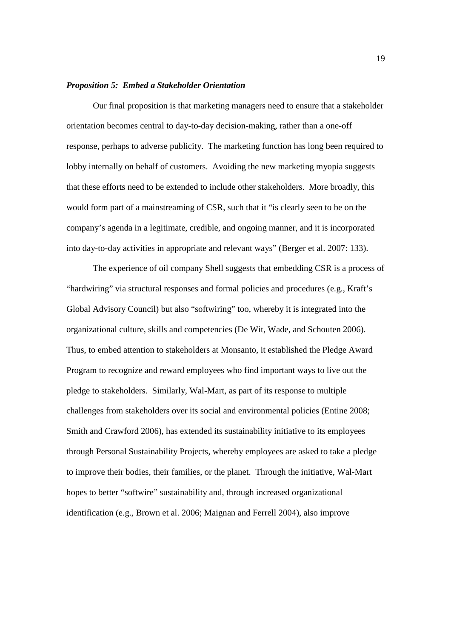### *Proposition 5: Embed a Stakeholder Orientation*

Our final proposition is that marketing managers need to ensure that a stakeholder orientation becomes central to day-to-day decision-making, rather than a one-off response, perhaps to adverse publicity. The marketing function has long been required to lobby internally on behalf of customers. Avoiding the new marketing myopia suggests that these efforts need to be extended to include other stakeholders. More broadly, this would form part of a mainstreaming of CSR, such that it "is clearly seen to be on the company's agenda in a legitimate, credible, and ongoing manner, and it is incorporated into day-to-day activities in appropriate and relevant ways" (Berger et al. 2007: 133).

The experience of oil company Shell suggests that embedding CSR is a process of "hardwiring" via structural responses and formal policies and procedures (e.g., Kraft's Global Advisory Council) but also "softwiring" too, whereby it is integrated into the organizational culture, skills and competencies (De Wit, Wade, and Schouten 2006). Thus, to embed attention to stakeholders at Monsanto, it established the Pledge Award Program to recognize and reward employees who find important ways to live out the pledge to stakeholders. Similarly, Wal-Mart, as part of its response to multiple challenges from stakeholders over its social and environmental policies (Entine 2008; Smith and Crawford 2006), has extended its sustainability initiative to its employees through Personal Sustainability Projects, whereby employees are asked to take a pledge to improve their bodies, their families, or the planet. Through the initiative, Wal-Mart hopes to better "softwire" sustainability and, through increased organizational identification (e.g., Brown et al. 2006; Maignan and Ferrell 2004), also improve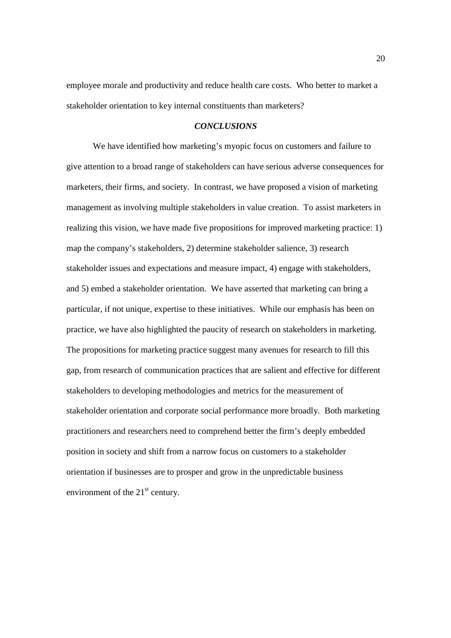employee morale and productivity and reduce health care costs. Who better to market a stakeholder orientation to key internal constituents than marketers?

### *CONCLUSIONS*

 We have identified how marketing's myopic focus on customers and failure to give attention to a broad range of stakeholders can have serious adverse consequences for marketers, their firms, and society. In contrast, we have proposed a vision of marketing management as involving multiple stakeholders in value creation. To assist marketers in realizing this vision, we have made five propositions for improved marketing practice: 1) map the company's stakeholders, 2) determine stakeholder salience, 3) research stakeholder issues and expectations and measure impact, 4) engage with stakeholders, and 5) embed a stakeholder orientation. We have asserted that marketing can bring a particular, if not unique, expertise to these initiatives. While our emphasis has been on practice, we have also highlighted the paucity of research on stakeholders in marketing. The propositions for marketing practice suggest many avenues for research to fill this gap, from research of communication practices that are salient and effective for different stakeholders to developing methodologies and metrics for the measurement of stakeholder orientation and corporate social performance more broadly. Both marketing practitioners and researchers need to comprehend better the firm's deeply embedded position in society and shift from a narrow focus on customers to a stakeholder orientation if businesses are to prosper and grow in the unpredictable business environment of the  $21<sup>st</sup>$  century.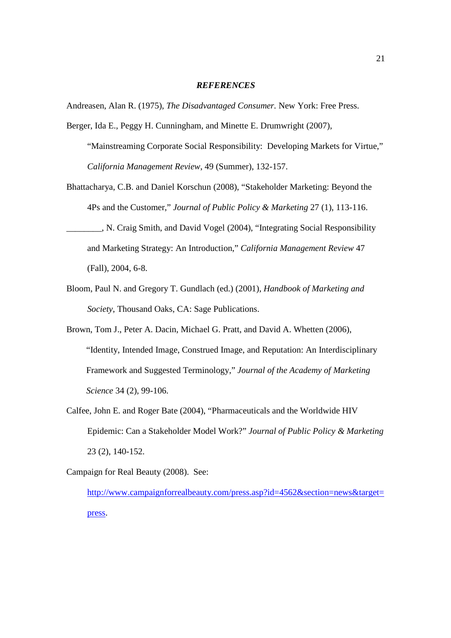## *REFERENCES*

Andreasen, Alan R. (1975), *The Disadvantaged Consumer.* New York: Free Press.

- Berger, Ida E., Peggy H. Cunningham, and Minette E. Drumwright (2007), "Mainstreaming Corporate Social Responsibility: Developing Markets for Virtue," *California Management Review*, 49 (Summer), 132-157.
- Bhattacharya, C.B. and Daniel Korschun (2008), "Stakeholder Marketing: Beyond the 4Ps and the Customer," *Journal of Public Policy & Marketing* 27 (1), 113-116.
- \_\_\_\_\_\_\_\_, N. Craig Smith, and David Vogel (2004), "Integrating Social Responsibility and Marketing Strategy: An Introduction," *California Management Review* 47 (Fall), 2004, 6-8.
- Bloom, Paul N. and Gregory T. Gundlach (ed.) (2001), *Handbook of Marketing and Society*, Thousand Oaks, CA: Sage Publications.
- Brown, Tom J., Peter A. Dacin, Michael G. Pratt, and David A. Whetten (2006), "Identity, Intended Image, Construed Image, and Reputation: An Interdisciplinary Framework and Suggested Terminology," *Journal of the Academy of Marketing Science* 34 (2), 99-106.
- Calfee, John E. and Roger Bate (2004), "Pharmaceuticals and the Worldwide HIV Epidemic: Can a Stakeholder Model Work?" *Journal of Public Policy & Marketing* 23 (2), 140-152.

Campaign for Real Beauty (2008). See: http://www.campaignforrealbeauty.com/press.asp?id=4562&section=news&target= press.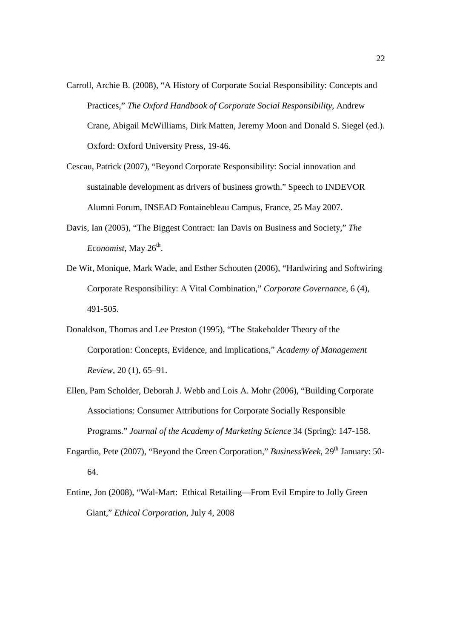- Carroll, Archie B. (2008), "A History of Corporate Social Responsibility: Concepts and Practices," *The Oxford Handbook of Corporate Social Responsibility*, Andrew Crane, Abigail McWilliams, Dirk Matten, Jeremy Moon and Donald S. Siegel (ed.). Oxford: Oxford University Press, 19-46.
- Cescau, Patrick (2007), "Beyond Corporate Responsibility: Social innovation and sustainable development as drivers of business growth." Speech to INDEVOR Alumni Forum, INSEAD Fontainebleau Campus, France, 25 May 2007.
- Davis, Ian (2005), "The Biggest Contract: Ian Davis on Business and Society," *The*  Economist, May 26<sup>th</sup>.
- De Wit, Monique, Mark Wade, and Esther Schouten (2006), "Hardwiring and Softwiring Corporate Responsibility: A Vital Combination," *Corporate Governance,* 6 (4), 491-505.
- Donaldson, Thomas and Lee Preston (1995), "The Stakeholder Theory of the Corporation: Concepts, Evidence, and Implications," *Academy of Management Review*, 20 (1), 65–91.
- Ellen, Pam Scholder, Deborah J. Webb and Lois A. Mohr (2006), "Building Corporate Associations: Consumer Attributions for Corporate Socially Responsible Programs." *Journal of the Academy of Marketing Science* 34 (Spring): 147-158.
- Engardio, Pete (2007), "Beyond the Green Corporation," *BusinessWeek*, 29<sup>th</sup> January: 50-64.
- Entine, Jon (2008), "Wal-Mart: Ethical Retailing—From Evil Empire to Jolly Green Giant," *Ethical Corporation*, July 4, 2008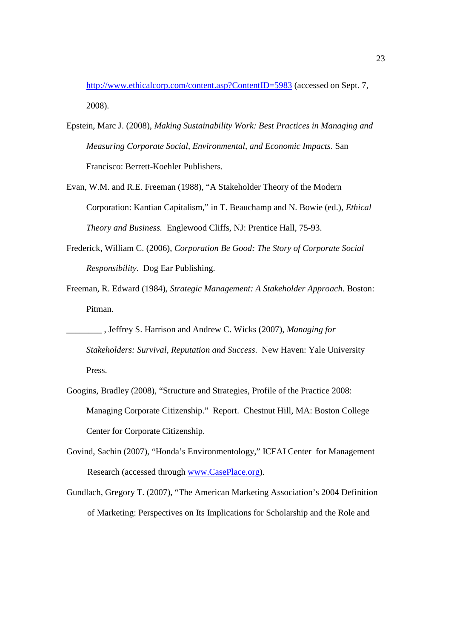http://www.ethicalcorp.com/content.asp?ContentID=5983 (accessed on Sept. 7, 2008).

- Epstein, Marc J. (2008), *Making Sustainability Work: Best Practices in Managing and Measuring Corporate Social, Environmental, and Economic Impacts*. San Francisco: Berrett-Koehler Publishers.
- Evan, W.M. and R.E. Freeman (1988), "A Stakeholder Theory of the Modern Corporation: Kantian Capitalism," in T. Beauchamp and N. Bowie (ed.), *Ethical Theory and Business.* Englewood Cliffs, NJ: Prentice Hall, 75-93.
- Frederick, William C. (2006), *Corporation Be Good: The Story of Corporate Social Responsibility*. Dog Ear Publishing.
- Freeman, R. Edward (1984), *Strategic Management: A Stakeholder Approach*. Boston: Pitman.
	- \_\_\_\_\_\_\_\_ , Jeffrey S. Harrison and Andrew C. Wicks (2007), *Managing for Stakeholders: Survival, Reputation and Success*. New Haven: Yale University Press.
- Googins, Bradley (2008), "Structure and Strategies, Profile of the Practice 2008: Managing Corporate Citizenship." Report. Chestnut Hill, MA: Boston College Center for Corporate Citizenship.
- Govind, Sachin (2007), "Honda's Environmentology," ICFAI Center for Management Research (accessed through www.CasePlace.org).
- Gundlach, Gregory T. (2007), "The American Marketing Association's 2004 Definition of Marketing: Perspectives on Its Implications for Scholarship and the Role and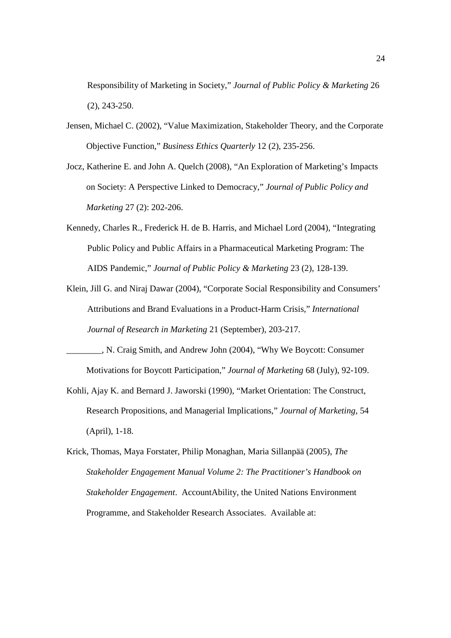Responsibility of Marketing in Society," *Journal of Public Policy & Marketing* 26 (2), 243-250.

- Jensen, Michael C. (2002), "Value Maximization, Stakeholder Theory, and the Corporate Objective Function," *Business Ethics Quarterly* 12 (2), 235-256.
- Jocz, Katherine E. and John A. Quelch (2008), "An Exploration of Marketing's Impacts on Society: A Perspective Linked to Democracy," *Journal of Public Policy and Marketing* 27 (2): 202-206.
- Kennedy, Charles R., Frederick H. de B. Harris, and Michael Lord (2004), "Integrating Public Policy and Public Affairs in a Pharmaceutical Marketing Program: The AIDS Pandemic," *Journal of Public Policy & Marketing* 23 (2), 128-139.
- Klein, Jill G. and Niraj Dawar (2004), "Corporate Social Responsibility and Consumers' Attributions and Brand Evaluations in a Product-Harm Crisis," *International Journal of Research in Marketing* 21 (September), 203-217.
- \_\_\_\_\_\_\_\_, N. Craig Smith, and Andrew John (2004), "Why We Boycott: Consumer Motivations for Boycott Participation," *Journal of Marketing* 68 (July), 92-109.
- Kohli, Ajay K. and Bernard J. Jaworski (1990), "Market Orientation: The Construct, Research Propositions, and Managerial Implications," *Journal of Marketing*, 54 (April), 1-18.
- Krick, Thomas, Maya Forstater, Philip Monaghan, Maria Sillanpää (2005), *The Stakeholder Engagement Manual Volume 2: The Practitioner's Handbook on Stakeholder Engagement*. AccountAbility, the United Nations Environment Programme, and Stakeholder Research Associates. Available at: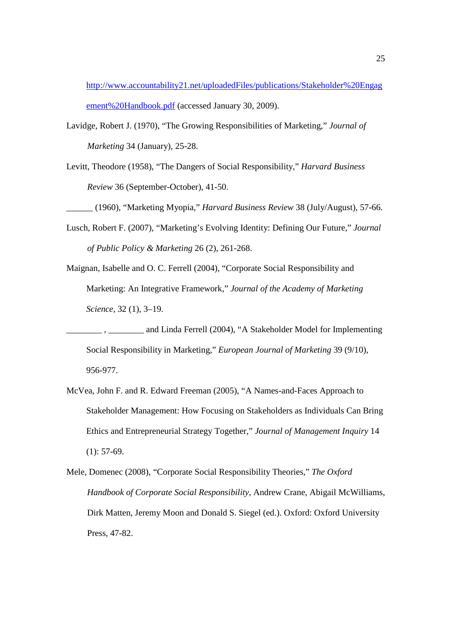http://www.accountability21.net/uploadedFiles/publications/Stakeholder%20Engag ement%20Handbook.pdf (accessed January 30, 2009).

- Lavidge, Robert J. (1970), "The Growing Responsibilities of Marketing," *Journal of Marketing* 34 (January), 25-28.
- Levitt, Theodore (1958), "The Dangers of Social Responsibility," *Harvard Business Review* 36 (September-October), 41-50.

*\_\_\_\_\_\_* (1960), "Marketing Myopia," *Harvard Business Review* 38 (July/August), 57-66.

- Lusch, Robert F. (2007), "Marketing's Evolving Identity: Defining Our Future," *Journal of Public Policy & Marketing* 26 (2), 261-268.
- Maignan, Isabelle and O. C. Ferrell (2004), "Corporate Social Responsibility and Marketing: An Integrative Framework," *Journal of the Academy of Marketing Science,* 32 (1), 3–19.
- and Linda Ferrell (2004), "A Stakeholder Model for Implementing Social Responsibility in Marketing," *European Journal of Marketing* 39 (9/10), 956-977.
- McVea, John F. and R. Edward Freeman (2005), "A Names-and-Faces Approach to Stakeholder Management: How Focusing on Stakeholders as Individuals Can Bring Ethics and Entrepreneurial Strategy Together," *Journal of Management Inquiry* 14  $(1): 57-69.$

Mele, Domenec (2008), "Corporate Social Responsibility Theories," *The Oxford Handbook of Corporate Social Responsibility*, Andrew Crane, Abigail McWilliams, Dirk Matten, Jeremy Moon and Donald S. Siegel (ed.). Oxford: Oxford University Press, 47-82.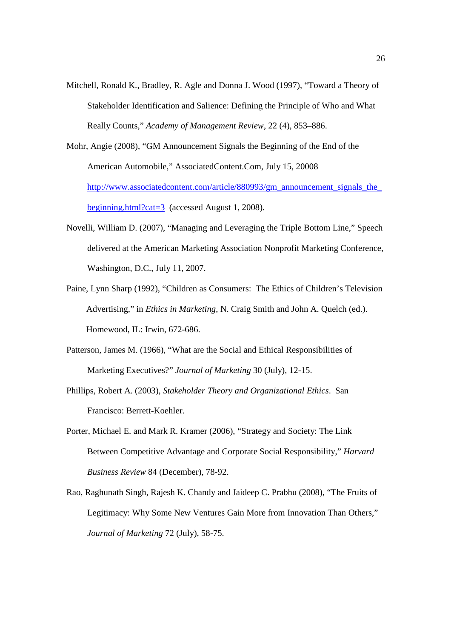Mitchell, Ronald K., Bradley, R. Agle and Donna J. Wood (1997), "Toward a Theory of Stakeholder Identification and Salience: Defining the Principle of Who and What Really Counts," *Academy of Management Review*, 22 (4), 853–886.

Mohr, Angie (2008), "GM Announcement Signals the Beginning of the End of the American Automobile," AssociatedContent.Com, July 15, 20008 http://www.associatedcontent.com/article/880993/gm\_announcement\_signals\_the beginning.html?cat=3 (accessed August 1, 2008).

- Novelli, William D. (2007), "Managing and Leveraging the Triple Bottom Line," Speech delivered at the American Marketing Association Nonprofit Marketing Conference, Washington, D.C., July 11, 2007.
- Paine, Lynn Sharp (1992), "Children as Consumers: The Ethics of Children's Television Advertising," in *Ethics in Marketing*, N. Craig Smith and John A. Quelch (ed.). Homewood, IL: Irwin, 672-686.
- Patterson, James M. (1966), "What are the Social and Ethical Responsibilities of Marketing Executives?" *Journal of Marketing* 30 (July), 12-15.
- Phillips, Robert A. (2003), *Stakeholder Theory and Organizational Ethics*. San Francisco: Berrett-Koehler.
- Porter, Michael E. and Mark R. Kramer (2006), "Strategy and Society: The Link Between Competitive Advantage and Corporate Social Responsibility," *Harvard Business Review* 84 (December), 78-92.
- Rao, Raghunath Singh, Rajesh K. Chandy and Jaideep C. Prabhu (2008), "The Fruits of Legitimacy: Why Some New Ventures Gain More from Innovation Than Others," *Journal of Marketing* 72 (July), 58-75.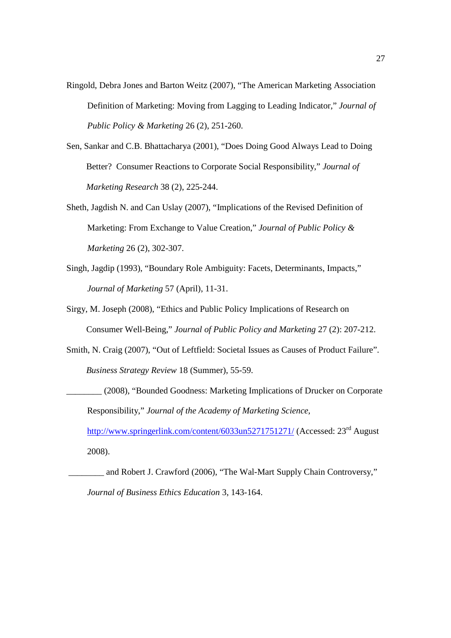- Ringold, Debra Jones and Barton Weitz (2007), "The American Marketing Association Definition of Marketing: Moving from Lagging to Leading Indicator," *Journal of Public Policy & Marketing* 26 (2), 251-260.
- Sen, Sankar and C.B. Bhattacharya (2001), "Does Doing Good Always Lead to Doing Better? Consumer Reactions to Corporate Social Responsibility," *Journal of Marketing Research* 38 (2), 225-244.
- Sheth, Jagdish N. and Can Uslay (2007), "Implications of the Revised Definition of Marketing: From Exchange to Value Creation," *Journal of Public Policy & Marketing* 26 (2), 302-307.
- Singh, Jagdip (1993), "Boundary Role Ambiguity: Facets, Determinants, Impacts," *Journal of Marketing* 57 (April), 11-31.
- Sirgy, M. Joseph (2008), "Ethics and Public Policy Implications of Research on Consumer Well-Being," *Journal of Public Policy and Marketing* 27 (2): 207-212.
- Smith, N. Craig (2007), "Out of Leftfield: Societal Issues as Causes of Product Failure". *Business Strategy Review* 18 (Summer), 55-59.
- \_\_\_\_\_\_\_\_ (2008), "Bounded Goodness: Marketing Implications of Drucker on Corporate Responsibility," *Journal of the Academy of Marketing Science,*  http://www.springerlink.com/content/6033un5271751271/ (Accessed: 23<sup>rd</sup> August 2008).
	- \_\_\_\_\_\_\_\_ and Robert J. Crawford (2006), "The Wal-Mart Supply Chain Controversy," *Journal of Business Ethics Education* 3, 143-164.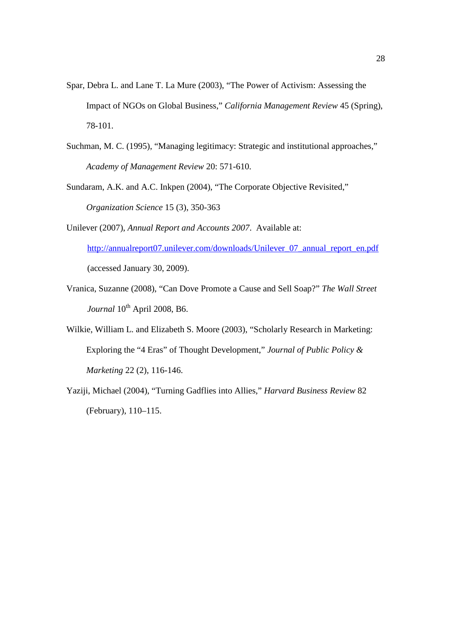- Spar, Debra L. and Lane T. La Mure (2003), "The Power of Activism: Assessing the Impact of NGOs on Global Business," *California Management Review* 45 (Spring), 78-101.
- Suchman, M. C. (1995), "Managing legitimacy: Strategic and institutional approaches," *Academy of Management Review* 20: 571-610.
- Sundaram, A.K. and A.C. Inkpen (2004), "The Corporate Objective Revisited," *Organization Science* 15 (3), 350-363
- Unilever (2007), *Annual Report and Accounts 2007*. Available at: http://annualreport07.unilever.com/downloads/Unilever\_07\_annual\_report\_en.pdf (accessed January 30, 2009).
- Vranica, Suzanne (2008), "Can Dove Promote a Cause and Sell Soap?" *The Wall Street Journal*  $10^{th}$  April 2008, B6.
- Wilkie, William L. and Elizabeth S. Moore (2003), "Scholarly Research in Marketing: Exploring the "4 Eras" of Thought Development," *Journal of Public Policy & Marketing* 22 (2), 116-146.
- Yaziji, Michael (2004), "Turning Gadflies into Allies," *Harvard Business Review* 82 (February), 110–115.